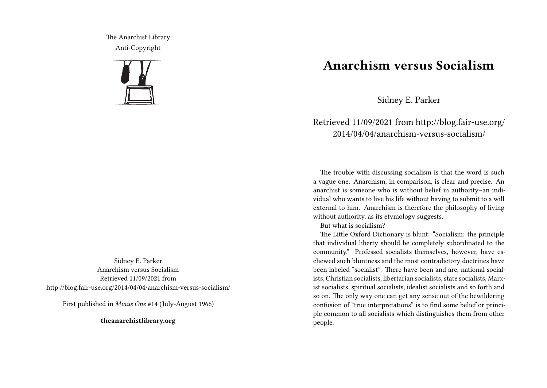The Anarchist Library Anti-Copyright



Sidney E. Parker Anarchism versus Socialism Retrieved 11/09/2021 from http://blog.fair-use.org/2014/04/04/anarchism-versus-socialism/

First published in *Minus One* #14 (July-August 1966)

**theanarchistlibrary.org**

## **Anarchism versus Socialism**

Sidney E. Parker

## Retrieved 11/09/2021 from http://blog.fair-use.org/ 2014/04/04/anarchism-versus-socialism/

The trouble with discussing socialism is that the word is such a vague one. Anarchism, in comparison, is clear and precise. An anarchist is someone who is without belief in authority–an individual who wants to live his life without having to submit to a will external to him. Anarchism is therefore the philosophy of living without authority, as its etymology suggests.

But what is socialism?

The Little Oxford Dictionary is blunt: "Socialism: the principle that individual liberty should be completely subordinated to the community." Professed socialists themselves, however, have eschewed such bluntness and the most contradictory doctrines have been labeled "socialist". There have been and are, national socialists, Christian socialists, libertarian socialists, state socialists, Marxist socialists, spiritual socialists, idealist socialists and so forth and so on. The only way one can get any sense out of the bewildering confusion of "true interpretations" is to find some belief or principle common to all socialists which distinguishes them from other people.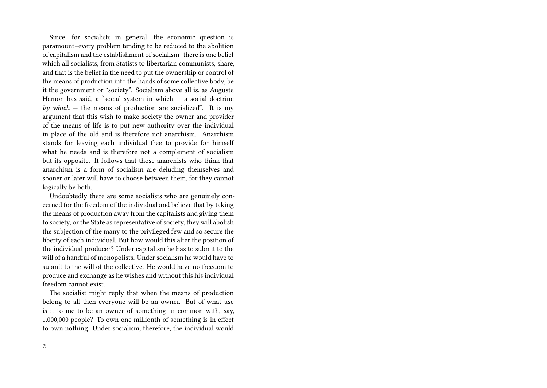Since, for socialists in general, the economic question is paramount–every problem tending to be reduced to the abolition of capitalism and the establishment of socialism–there is one belief which all socialists, from Statists to libertarian communists, share, and that is the belief in the need to put the ownership or control of the means of production into the hands of some collective body, be it the government or "society". Socialism above all is, as Auguste Hamon has said, a "social system in which — a social doctrine *by which* — the means of production are socialized". It is my argument that this wish to make society the owner and provider of the means of life is to put new authority over the individual in place of the old and is therefore not anarchism. Anarchism stands for leaving each individual free to provide for himself what he needs and is therefore not a complement of socialism but its opposite. It follows that those anarchists who think that anarchism is a form of socialism are deluding themselves and sooner or later will have to choose between them, for they cannot logically be both.

Undoubtedly there are some socialists who are genuinely concerned for the freedom of the individual and believe that by taking the means of production away from the capitalists and giving them to society, or the State as representative of society, they will abolish the subjection of the many to the privileged few and so secure the liberty of each individual. But how would this alter the position of the individual producer? Under capitalism he has to submit to the will of a handful of monopolists. Under socialism he would have to submit to the will of the collective. He would have no freedom to produce and exchange as he wishes and without this his individual freedom cannot exist.

The socialist might reply that when the means of production belong to all then everyone will be an owner. But of what use is it to me to be an owner of something in common with, say, 1,000,000 people? To own one millionth of something is in effect to own nothing. Under socialism, therefore, the individual would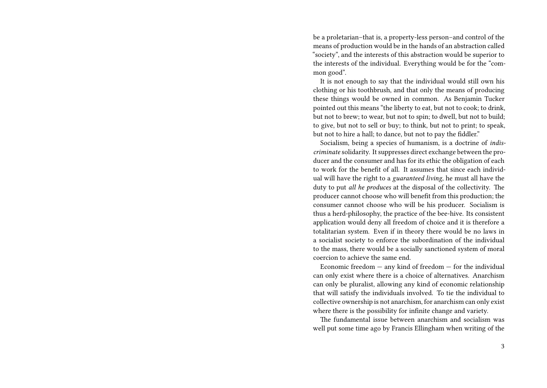be a proletarian–that is, a property-less person–and control of the means of production would be in the hands of an abstraction called "society", and the interests of this abstraction would be superior to the interests of the individual. Everything would be for the "common good".

It is not enough to say that the individual would still own his clothing or his toothbrush, and that only the means of producing these things would be owned in common. As Benjamin Tucker pointed out this means "the liberty to eat, but not to cook; to drink, but not to brew; to wear, but not to spin; to dwell, but not to build; to give, but not to sell or buy; to think, but not to print; to speak, but not to hire a hall; to dance, but not to pay the fiddler."

Socialism, being a species of humanism, is a doctrine of *indiscriminate* solidarity. It suppresses direct exchange between the producer and the consumer and has for its ethic the obligation of each to work for the benefit of all. It assumes that since each individual will have the right to a *guaranteed living*, he must all have the duty to put *all he produces* at the disposal of the collectivity. The producer cannot choose who will benefit from this production; the consumer cannot choose who will be his producer. Socialism is thus a herd-philosophy, the practice of the bee-hive. Its consistent application would deny all freedom of choice and it is therefore a totalitarian system. Even if in theory there would be no laws in a socialist society to enforce the subordination of the individual to the mass, there would be a socially sanctioned system of moral coercion to achieve the same end.

Economic freedom  $-$  any kind of freedom  $-$  for the individual can only exist where there is a choice of alternatives. Anarchism can only be pluralist, allowing any kind of economic relationship that will satisfy the individuals involved. To tie the individual to collective ownership is not anarchism, for anarchism can only exist where there is the possibility for infinite change and variety.

The fundamental issue between anarchism and socialism was well put some time ago by Francis Ellingham when writing of the